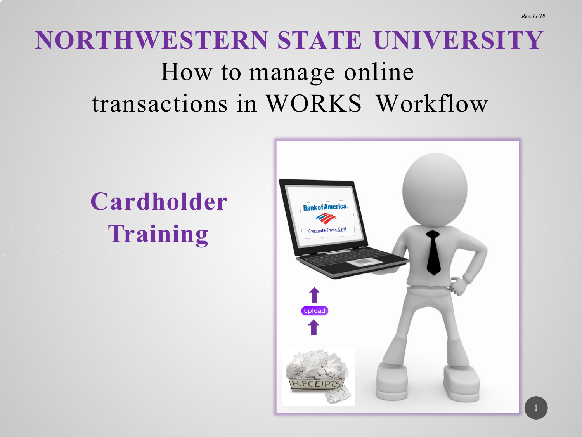# **NORTHWESTERN STATE UNIVERSITY** How to manage online transactions in WORKS Workflow

# **Cardholder Training**



*Rev. 11/18*

1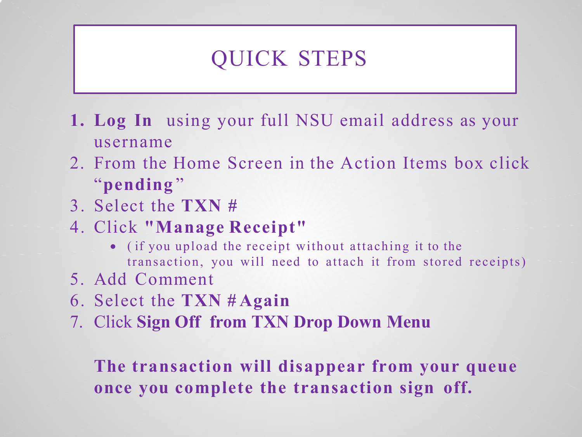### QUICK STEPS

- **1. Log In** using your full NSU email address as your username
- 2. From the Home Screen in the Action Items box click "**pending** "
- 3. Select the **TXN #**
- 4. Click **"Manage Receipt"**
	- ( if you upload the receipt without attaching it to the transaction, you will need to attach it from stored receipts)
- 5. Add Comment
- 6. Select the **TXN # Again**
- 7. Click **Sign Off from TXN Drop Down Menu**

**The transaction will disappear from your queue once you complete the transaction sign off.**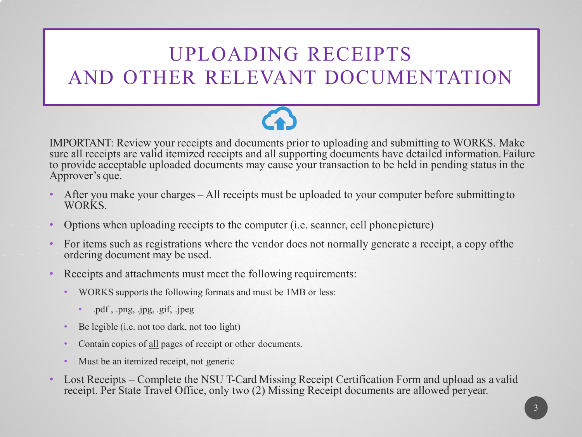### UPLOADING RECEIPTS AND OTHER RELEVANT DOCUMENTATION



IMPORTANT: Review your receipts and documents prior to uploading and submitting to WORKS. Make sure all receipts are valid itemized receipts and all supporting documents have detailed information.Failure to provide acceptable uploaded documents may cause your transaction to be held in pending status in the Approver's que.

- After you make your charges All receipts must be uploaded to your computer before submittingto WORKS.
- Options when uploading receipts to the computer (*i.e.* scanner, cell phonepicture)
- For items such as registrations where the vendor does not normally generate a receipt, a copy ofthe ordering document may be used.
- Receipts and attachments must meet the following requirements:
	- WORKS supports the following formats and must be 1MB or less:
		- .pdf, .png, .jpg, .gif, .jpeg
	- Be legible (i.e. not too dark, not too light)
	- Contain copies of <u>all</u> pages of receipt or other documents.
	- Must be an itemized receipt, not generic
- Lost Receipts Complete the NSU T-Card Missing Receipt Certification Form and upload as avalid receipt. Per State Travel Office, only two (2) Missing Receipt documents are allowed peryear.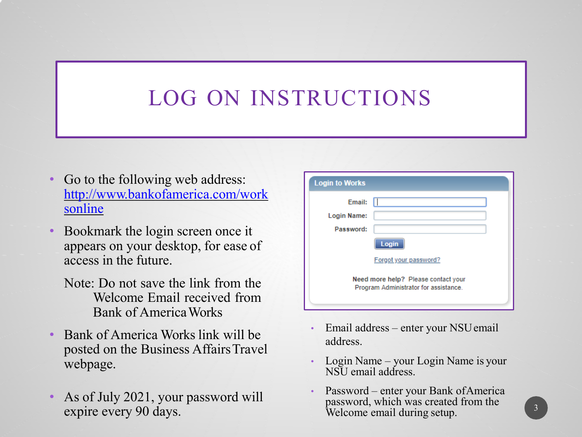## LOG ON INSTRUCTIONS

- Go to the following web address: [http://www.bankofamerica.com/work](http://www.bankofamerica.com/worksonline)  sonline
- Bookmark the login screen once it appears on your desktop, for ease of access in the future.
	- Note: Do not save the link from the Welcome Email received from Bank of AmericaWorks
- Bank of America Works link will be posted on the Business AffairsTravel webpage.
- As of July 2021, your password will expire every 90 days.

| <b>Login to Works</b> |                                                                              |
|-----------------------|------------------------------------------------------------------------------|
| Email:                |                                                                              |
| Login Name:           |                                                                              |
| Password:             |                                                                              |
|                       | Login                                                                        |
|                       | Forgot your password?                                                        |
|                       | Need more help? Please contact your<br>Program Administrator for assistance. |
|                       |                                                                              |

- Email address enter your NSUemail address.
- Login Name your Login Name is your NSU email address.
- Password enter your Bank of America password, which was created from the Welcome email during setup.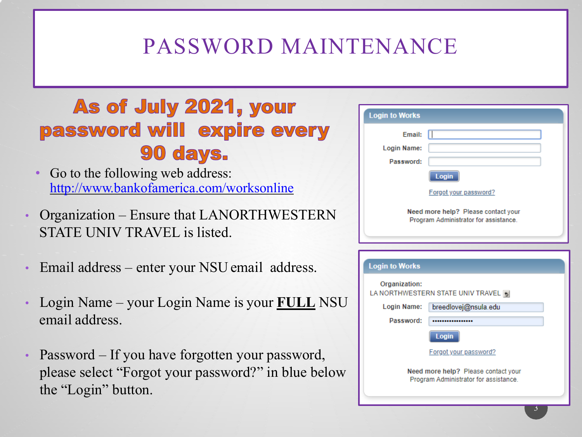## PASSWORD MAINTENANCE

### As of July 2021, your password will expire every 90 days.

- Go to the following web address: <http://www.bankofamerica.com/worksonline>
- Organization Ensure that LANORTHWESTERN STATE UNIV TRAVEL is listed.
- Email address enter your NSU email address.
- Login Name your Login Name is your **FULL** NSU email address.
- Password If you have forgotten your password, please select "Forgot your password?" in blue below the "Login" button.

| <b>Login to Works</b>                                                        |                                     |  |  |  |  |
|------------------------------------------------------------------------------|-------------------------------------|--|--|--|--|
| Email:                                                                       |                                     |  |  |  |  |
| Login Name:                                                                  |                                     |  |  |  |  |
| Password:                                                                    |                                     |  |  |  |  |
|                                                                              | Login                               |  |  |  |  |
|                                                                              | Forgot your password?               |  |  |  |  |
| Need more help? Please contact your<br>Program Administrator for assistance. |                                     |  |  |  |  |
|                                                                              |                                     |  |  |  |  |
| <b>Login to Works</b>                                                        |                                     |  |  |  |  |
| Organization:                                                                | LA NORTHWESTERN STATE UNIV TRAVEL 5 |  |  |  |  |
| <b>Login Name:</b>                                                           | breedlovej@nsula.edu                |  |  |  |  |
| Password:                                                                    |                                     |  |  |  |  |
|                                                                              | Login                               |  |  |  |  |
|                                                                              | Forgot your password?               |  |  |  |  |
| Need more help? Please contact your<br>Program Administrator for assistance. |                                     |  |  |  |  |
|                                                                              |                                     |  |  |  |  |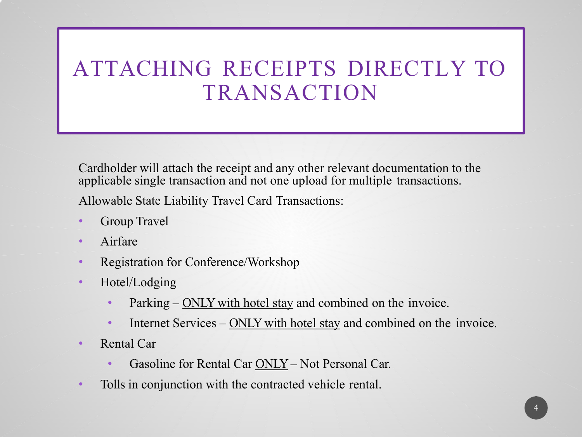### ATTACHING RECEIPTS DIRECTLY TO TRANSACTION

Cardholder will attach the receipt and any other relevant documentation to the applicable single transaction and not one upload for multiple transactions.

Allowable State Liability Travel Card Transactions:

- Group Travel
- Airfare
- Registration for Conference/Workshop
- Hotel/Lodging
	- Parking ONLY with hotel stay and combined on the invoice.
	- Internet Services ONLY with hotel stay and combined on the invoice.
- Rental Car
	- Gasoline for Rental Car ONLY– Not Personal Car.
- Tolls in conjunction with the contracted vehicle rental.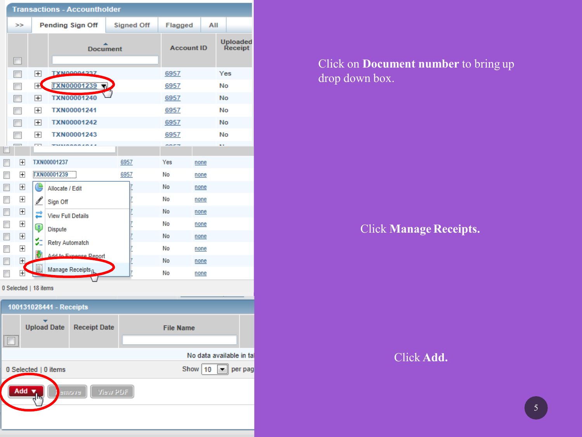| <b>Transactions - Accountholder</b>                |                |                          |                          |                              |                 |      |                   |                  |                   |      |     |                                |
|----------------------------------------------------|----------------|--------------------------|--------------------------|------------------------------|-----------------|------|-------------------|------------------|-------------------|------|-----|--------------------------------|
|                                                    | ⋗⋗             |                          |                          | <b>Pending Sign Off</b>      |                 |      | <b>Signed Off</b> | Flagged          |                   | All  |     |                                |
| F                                                  |                |                          |                          |                              | <b>Document</b> |      |                   |                  | <b>Account ID</b> |      |     | <b>Uploaded</b><br>Receipt     |
| $\overline{\phantom{a}}$                           |                | $\mathbf{H}$             |                          | TXN00004337                  |                 |      |                   | 6957             |                   |      | Yes |                                |
| $\overline{\phantom{a}}$                           |                | $\mathbb H$              |                          | <b>TXN00001239</b>           |                 |      |                   | 6957             |                   |      | No  |                                |
|                                                    |                | $\overline{H}$           |                          | <b>TXN00001240</b>           |                 |      |                   | 6957             |                   |      | No  |                                |
|                                                    |                | $\overline{+}$           |                          | TXN00001241                  |                 |      |                   | 6957             |                   |      | No  |                                |
|                                                    |                | $\mathbb{H}$             |                          | TXN00001242                  |                 |      |                   | 6957             |                   |      | No  |                                |
|                                                    |                | $\mathbf{H}$             |                          | TXN00001243                  |                 |      |                   | 6957             |                   |      | No  |                                |
|                                                    |                | $\overline{\phantom{a}}$ |                          |                              |                 |      |                   | ****             |                   |      | a i |                                |
|                                                    | $\boxplus$     |                          | TXN00001237              |                              |                 | 6957 |                   | Yes              |                   | none |     |                                |
|                                                    | $\boxplus$     |                          | TXN00001239              |                              |                 | 6957 |                   | No               |                   | none |     |                                |
|                                                    | 田              | (L                       | Allocate / Edit          |                              |                 |      |                   | No               |                   | none |     |                                |
|                                                    | $\overline{+}$ | Í                        | Sign Off                 |                              |                 |      |                   | No               |                   | none |     |                                |
|                                                    | $\boxplus$     | ದೆ                       | <b>View Full Details</b> |                              |                 |      |                   | No               |                   | none |     |                                |
|                                                    | $\overline{+}$ |                          |                          |                              |                 |      |                   | No               |                   | none |     |                                |
|                                                    | $\boxplus$     | Ţ                        | <b>Dispute</b>           |                              |                 |      |                   | No               |                   | none |     |                                |
| п                                                  | $\boxplus$     | s.                       | <b>Retry Automatch</b>   |                              |                 |      |                   | No               |                   | none |     |                                |
| п                                                  | 田              | 眇                        |                          | Add to Evening Report        |                 |      |                   | No               |                   | none |     |                                |
|                                                    | $\pm$          |                          |                          | Manage Receipts <sub>n</sub> |                 |      |                   | No               |                   | none |     |                                |
|                                                    |                | 0 Selected   18 items    |                          |                              |                 |      |                   |                  |                   |      |     |                                |
|                                                    |                |                          | 100131028441 - Receipts  |                              |                 |      |                   |                  |                   |      |     |                                |
|                                                    |                |                          | <b>Upload Date</b>       | <b>Receipt Date</b>          |                 |      |                   | <b>File Name</b> |                   |      |     |                                |
| No data available in tal                           |                |                          |                          |                              |                 |      |                   |                  |                   |      |     |                                |
|                                                    |                |                          | 0 Selected   0 items     |                              |                 |      |                   |                  | Show $\boxed{10}$ |      |     | $\boxed{\blacksquare}$ per pag |
| Add V<br>$\sqrt{2}$ View PDF<br>svome <sup>1</sup> |                |                          |                          |                              |                 |      |                   |                  |                   |      |     |                                |
|                                                    |                |                          |                          |                              |                 |      |                   |                  |                   |      |     |                                |

Click on **Document number** to bring up drop down box.

#### Click **Manage Receipts.**

Click **Add.**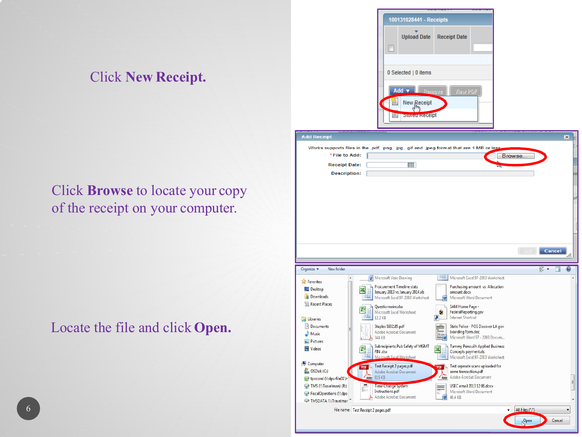#### Click **New Receipt.**

#### Click **Browse** to locate your copy of the receipt on your computer.

#### Locate the file and click **Open.**

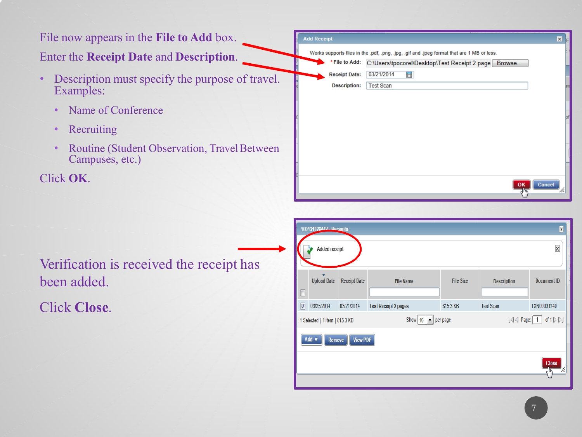#### File now appears in the **File to Add** box. **Add Receipt**  $\overline{\mathbf{x}}$ Works supports files in the .pdf, .png, .jpg, .gif and .jpeg format that are 1 MB or less. Enter the **Receipt Date** and **Description**. \*File to Add: C:\Users\tpocorel\Desktop\Test Receipt 2 page Browse... **Receipt Date:** 03/21/2014 ■ • Description must specify the purpose of travel. **Description:** Test Scan Examples: • Name of Conference • Recruiting • Routine (Student Observation, Travel Between Campuses, etc.) Click **OK**. Cancel OK

Verification is received the receipt has been added.

Click **Close**.

|                                                          | 100131028442 Peceipts<br>X     |                     |                             |                  |                                             |                                      |  |  |
|----------------------------------------------------------|--------------------------------|---------------------|-----------------------------|------------------|---------------------------------------------|--------------------------------------|--|--|
|                                                          | Added receipt.                 |                     |                             |                  |                                             | $\times$                             |  |  |
| $\Box$                                                   | v<br><b>Upload Date</b>        | <b>Receipt Date</b> | <b>File Name</b>            | <b>File Size</b> | <b>Description</b>                          | <b>Document ID</b>                   |  |  |
| $\overline{\sqrt{2}}$                                    | 03/25/2014                     | 03/21/2014          | <b>Test Receipt 2 pages</b> | 815.3 KB         | <b>Test Scan</b>                            | TXN00001240                          |  |  |
|                                                          | 1 Selected   1 item   815.3 KB |                     | Show 10<br>ыI               | per page         | $\left\Vert \triangleleft\right\Vert$ Page: | of $1 \triangleright \triangleright$ |  |  |
| Add v<br><b>View PDF</b><br>Remove<br>Close<br>W,<br>۸m, |                                |                     |                             |                  |                                             |                                      |  |  |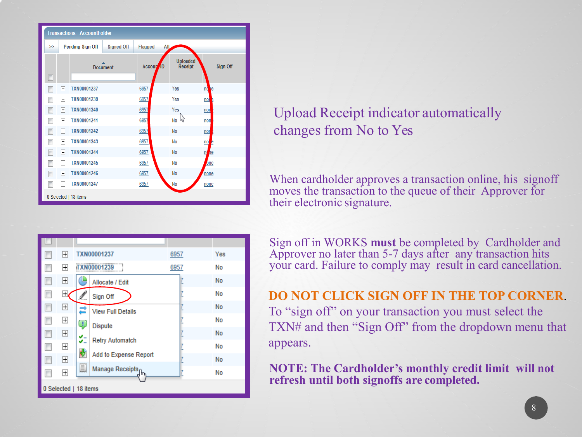|       | <b>Transactions - Accountholder</b> |                    |                   |                       |                            |                |  |
|-------|-------------------------------------|--------------------|-------------------|-----------------------|----------------------------|----------------|--|
| $>\,$ |                                     | Pending Sign Off   | <b>Signed Off</b> | Flagged               | AII,                       |                |  |
| П     |                                     | <b>Document</b>    |                   | Accoun <sup>1</sup> D | <b>Uploaded</b><br>Receipt | Sign Off       |  |
| г     | $\overline{\mathbf{H}}$             | <b>TXN00001237</b> |                   | 6957                  | Yes                        | e<br>nc        |  |
|       | 田                                   | TXN00001239        |                   | 6957                  | Yes                        | nor            |  |
| Г     | 田                                   | TXN00001240        |                   | 6957                  | Yes                        | non            |  |
|       | $\overline{+}$                      | <b>TXN00001241</b> |                   | 6957                  | No w                       | non            |  |
| г     | $\overline{+}$                      | <b>TXN00001242</b> |                   | 6957                  | No                         | non            |  |
|       | $\overline{+}$                      | TXN00001243        |                   | 6957                  | No                         | no<br>È        |  |
| Г     | $\overline{+}$                      | TXN00001244        |                   | 6957                  | No                         | Щ<br><b>le</b> |  |
|       | $\overline{+}$                      | TXN00001245        |                   | 6957                  | No                         | one            |  |
| г     | $\mathbb{H}$                        | <b>TXN00001246</b> |                   | 6957                  | No                         | none           |  |
|       | 田                                   | <b>TXN00001247</b> |                   | 6957                  | No                         | none           |  |
|       | 0 Selected   18 items               |                    |                   |                       |                            |                |  |



### Upload Receipt indicator automatically changes from No to Yes

When cardholder approves a transaction online, his signoff moves the transaction to the queue of their Approver for their electronic signature.

Sign off in WORKS **must** be completed by Cardholder and Approver no later than 5-7 days after any transaction hits your card. Failure to comply may result in card cancellation.

**DO NOT CLICK SIGN OFF IN THE TOP CORNER**. To "sign off" on your transaction you must select the TXN# and then "Sign Off" from the dropdown menu that appears.

**NOTE: The Cardholder's monthly credit limit will not refresh until both signoffs are completed.**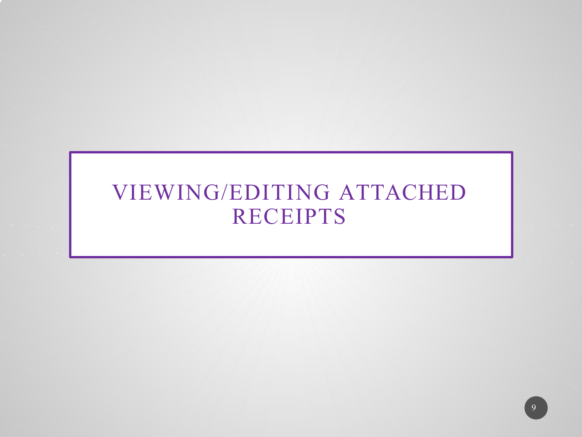### VIEWING/EDITING ATTACHED RECEIPTS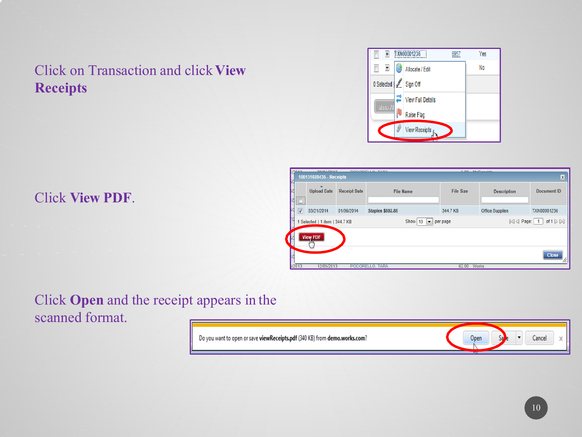### Click on Transaction and click **View Receipts**



#### Click **View PDF**.

| ,,,,,,,,,,,,           | <b>Upload Date</b>           | <b>Receipt Date</b> | <b>File Name</b>        | <b>File Size</b>                           | <b>Description</b>     | Document ID                                                                    |
|------------------------|------------------------------|---------------------|-------------------------|--------------------------------------------|------------------------|--------------------------------------------------------------------------------|
| <b>TELEVISION</b><br>V | 03/21/2014                   | 01/06/2014          | <b>Staples \$692.85</b> | 344.7 KB                                   | <b>Office Supplies</b> | TXN00001236                                                                    |
|                        | Selected   1 item   344.7 KB |                     |                         | Show   10 $\blacktriangleright$   per page |                        | $\left \triangleleft\right $ Page: 1<br>of $1 \triangleright \triangleright 1$ |

#### Click **Open** and the receipt appears in the scanned format.

| Do you want to open or save <b>viewReceipts.pdf</b> (340 KB) from <b>demo.works.com</b> ? | Open | ancel<br>J. |
|-------------------------------------------------------------------------------------------|------|-------------|